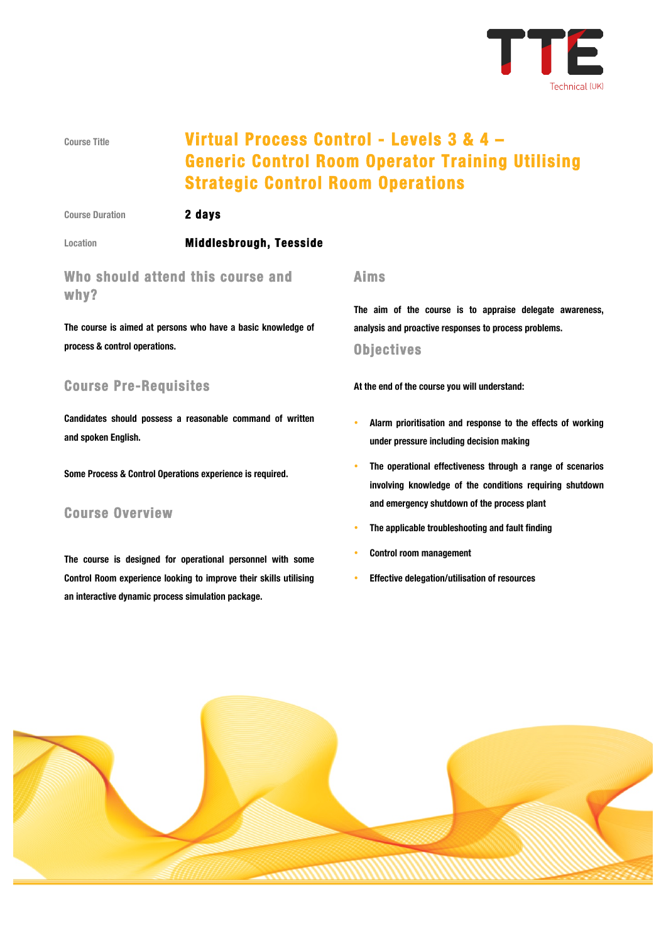

# **Course Title Virtual Process Control - Levels 3 & 4 – Generic Control Room Operator Training Utilising Strategic Control Room Operations**

**Course Duration 2 days** 

#### **Location Middlesbrough, Teesside**

# **Who should attend this course and why?**

**The course is aimed at persons who have a basic knowledge of process & control operations.**

# **Course Pre-Requisites**

**Candidates should possess a reasonable command of written and spoken English.**

**Some Process & Control Operations experience is required.**

## **Course Overview**

**The course is designed for operational personnel with some Control Room experience looking to improve their skills utilising an interactive dynamic process simulation package.**

#### **Aims**

**The aim of the course is to appraise delegate awareness, analysis and proactive responses to process problems.**

#### **Objectives**

**At the end of the course you will understand:**

- **Alarm prioritisation and response to the effects of working under pressure including decision making**
- **The operational effectiveness through a range of scenarios involving knowledge of the conditions requiring shutdown and emergency shutdown of the process plant**
- **The applicable troubleshooting and fault finding**
- **Control room management**
- **Effective delegation/utilisation of resources**